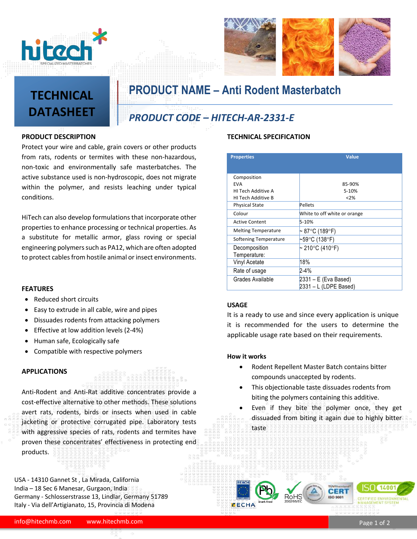



# **TECHNICAL DATASHEET**

**PRODUCT NAME – Anti Rodent Masterbatch**

### *PRODUCT CODE – HITECH-AR-2331-E*

#### **PRODUCT DESCRIPTION**

Protect your wire and cable, grain covers or other products from rats, rodents or termites with these non-hazardous, non-toxic and environmentally safe masterbatches. The active substance used is non-hydroscopic, does not migrate within the polymer, and resists leaching under typical conditions.

HiTech can also develop formulations that incorporate other properties to enhance processing or technical properties. As a substitute for metallic armor, glass roving or special engineering polymers such as PA12, which are often adopted to protect cables from hostile animal or insect environments.

#### **FEATURES**

- Reduced short circuits
- Easy to extrude in all cable, wire and pipes
- Dissuades rodents from attacking polymers
- Effective at low addition levels (2-4%)
- Human safe, Ecologically safe
- Compatible with respective polymers

#### **APPLICATIONS**

Anti-Rodent and Anti-Rat additive concentrates provide a cost-effective alternative to other methods. These solutions avert rats, rodents, birds or insects when used in cable jacketing or protective corrugated pipe. Laboratory tests with aggressive species of rats, rodents and termites have proven these concentrates' effectiveness in protecting end products.

USA - 14310 Gannet St , La Mirada, California India – 18 Sec 6 Manesar, Gurgaon, India Germany - Schlosserstrasse 13, Lindlar, Germany 51789 Italy - Via dell'Artigianato, 15, Provincia di Modena

### **TECHNICAL SPECIFICATION**

| <b>Properties</b>          | <b>Value</b>                                  |
|----------------------------|-----------------------------------------------|
| Composition                |                                               |
| <b>FVA</b>                 | 85-90%                                        |
| HI Tech Additive A         | 5-10%                                         |
| HI Tech Additive B         | < 2%                                          |
| <b>Physical State</b>      | Pellets                                       |
| Colour                     | White to off white or orange                  |
| <b>Active Content</b>      | 5-10%                                         |
| <b>Melting Temperature</b> | ~ 87°C (189°F)                                |
| Softening Temperature      | $-59$ °C (138°F)                              |
| Decomposition              | $\sim$ 210°C (410°F)                          |
| Temperature:               |                                               |
| Vinyl Acetate              | 18%                                           |
| Rate of usage              | $2 - 4%$                                      |
| Grades Available           | 2331 – E (Eva Based)<br>2331 - L (LDPE Based) |

#### **USAGE**

It is a ready to use and since every application is unique it is recommended for the users to determine the applicable usage rate based on their requirements.

#### **How it works**

- Rodent Repellent Master Batch contains bitter compounds unaccepted by rodents.
- This objectionable taste dissuades rodents from biting the polymers containing this additive.
- Even if they bite the polymer once, they get dissuaded from biting it again due to highly bitter taste